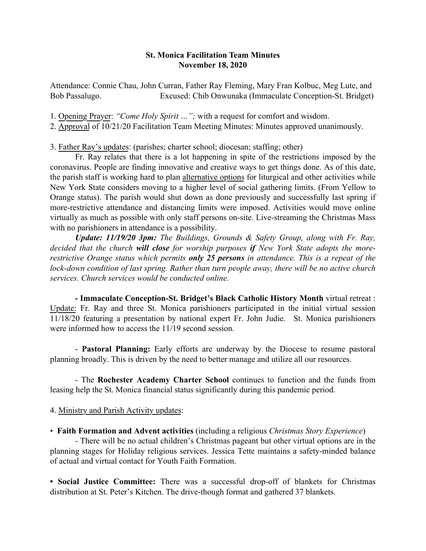## St. Monica Facilitation Team Minutes November 18, 2020

Attendance: Connie Chau, John Curran, Father Ray Fleming, Mary Fran Kolbuc, Meg Lute, and Bob Passalugo. Excused: Chib Onwunaka (Immaculate Conception-St. Bridget)

1. Opening Prayer: *"Come Holy Spirit …";* with a request for comfort and wisdom.

2. Approval of 10/21/20 Facilitation Team Meeting Minutes: Minutes approved unanimously.

3. Father Ray's updates: (parishes; charter school; diocesan; staffing; other)

Fr. Ray relates that there is a lot happening in spite of the restrictions imposed by the coronavirus. People are finding innovative and creative ways to get things done. As of this date, the parish staff is working hard to plan alternative options for liturgical and other activities while New York State considers moving to a higher level of social gathering limits. (From Yellow to Orange status). The parish would shut down as done previously and successfully last spring if more-restrictive attendance and distancing limits were imposed. Activities would move online virtually as much as possible with only staff persons on-site. Live-streaming the Christmas Mass with no parishioners in attendance is a possibility.

*Update: 11/19/20 3pm: The Buildings, Grounds & Safety Group, along with Fr. Ray, decided that the church will close for worship purposes if New York State adopts the morerestrictive Orange status which permits only 25 persons in attendance. This is a repeat of the lock-down condition of last spring. Rather than turn people away, there will be no active church services. Church services would be conducted online.* 

- Immaculate Conception-St. Bridget's Black Catholic History Month virtual retreat : Update: Fr. Ray and three St. Monica parishioners participated in the initial virtual session 11/18/20 featuring a presentation by national expert Fr. John Judie. St. Monica parishioners were informed how to access the 11/19 second session.

- Pastoral Planning: Early efforts are underway by the Diocese to resume pastoral planning broadly. This is driven by the need to better manage and utilize all our resources.

- The Rochester Academy Charter School continues to function and the funds from leasing help the St. Monica financial status significantly during this pandemic period.

## 4. Ministry and Parish Activity updates:

• Faith Formation and Advent activities (including a religious *Christmas Story Experience*)

- There will be no actual children's Christmas pageant but other virtual options are in the planning stages for Holiday religious services. Jessica Tette maintains a safety-minded balance of actual and virtual contact for Youth Faith Formation.

• Social Justice Committee: There was a successful drop-off of blankets for Christmas distribution at St. Peter's Kitchen. The drive-though format and gathered 37 blankets.